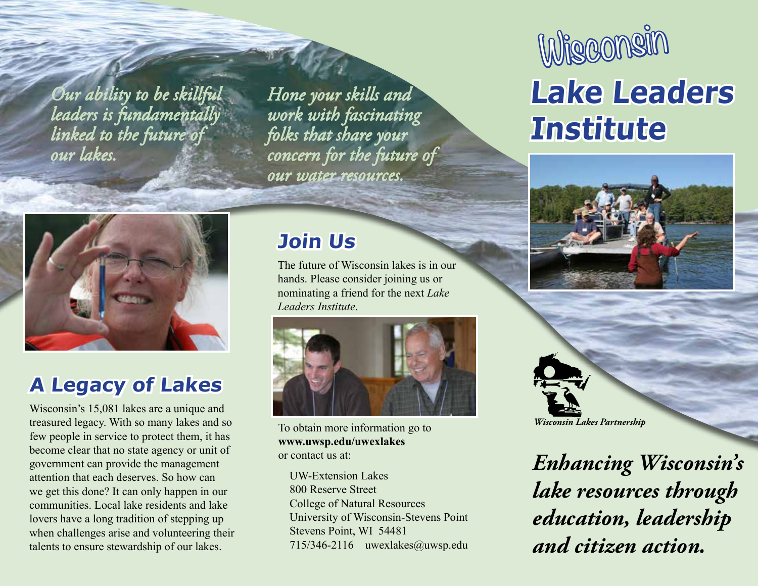*Our ability to be skillful leaders is fundamentally linked to the future of our lakes.*

*Hone your skills and work with fascinating folks that share your concern for the future of our water resources.*



#### **A Legacy of Lakes**

Wisconsin's 15,081 lakes are a unique and treasured legacy. With so many lakes and so few people in service to protect them, it has become clear that no state agency or unit of government can provide the management attention that each deserves. So how can we get this done? It can only happen in our communities. Local lake residents and lake lovers have a long tradition of stepping up when challenges arise and volunteering their talents to ensure stewardship of our lakes.

#### **Join Us**

The future of Wisconsin lakes is in our hands. Please consider joining us or nominating a friend for the next *Lake Leaders Institute*.



To obtain more information go to **www.uwsp.edu/uwexlakes** or contact us at:

UW-Extension Lakes 800 Reserve Street College of Natural Resources University of Wisconsin-Stevens Point Stevens Point, WI 54481 715/346-2116 uwexlakes@uwsp.edu

# **Lake Leaders Institute Wisconsin**





*Enhancing Wisconsin's lake resources through education, leadership and citizen action.*